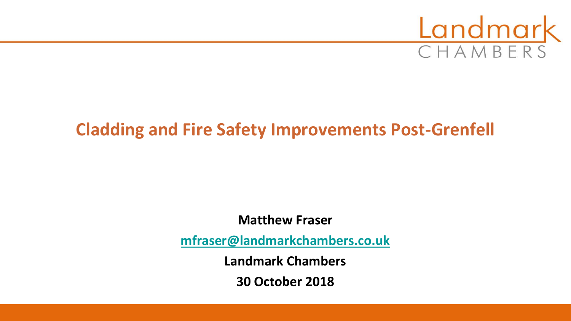

# **Cladding and Fire Safety Improvements Post-Grenfell**

**Matthew Fraser**

**[mfraser@landmarkchambers.co.uk](mailto:mfraser@landmarkchambers.co.uk)**

**Landmark Chambers**

**30 October 2018**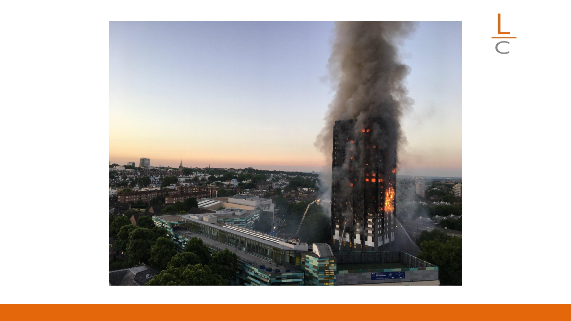

 $\frac{1}{C}$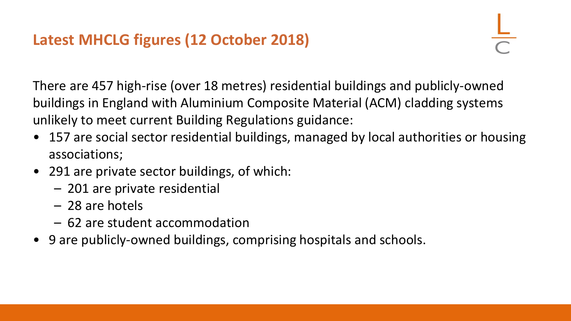# **Latest MHCLG figures (12 October 2018)**

There are 457 high-rise (over 18 metres) residential buildings and publicly-owned buildings in England with Aluminium Composite Material (ACM) cladding systems unlikely to meet current Building Regulations guidance:

- 157 are social sector residential buildings, managed by local authorities or housing associations;
- 291 are private sector buildings, of which:
	- 201 are private residential
	- 28 are hotels
	- 62 are student accommodation
- 9 are publicly-owned buildings, comprising hospitals and schools.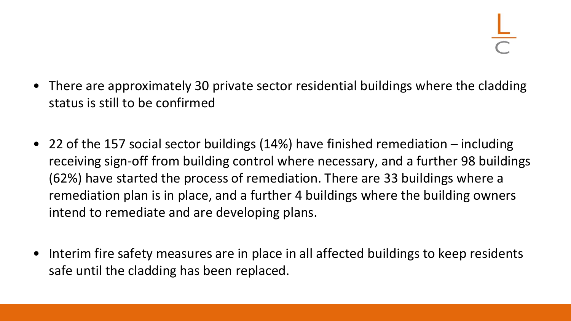- There are approximately 30 private sector residential buildings where the cladding status is still to be confirmed
- 22 of the 157 social sector buildings (14%) have finished remediation including receiving sign-off from building control where necessary, and a further 98 buildings (62%) have started the process of remediation. There are 33 buildings where a remediation plan is in place, and a further 4 buildings where the building owners intend to remediate and are developing plans.
- Interim fire safety measures are in place in all affected buildings to keep residents safe until the cladding has been replaced.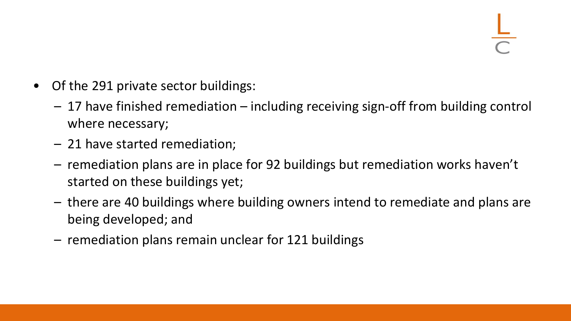- Of the 291 private sector buildings:
	- 17 have finished remediation including receiving sign-off from building control where necessary;
	- 21 have started remediation;
	- remediation plans are in place for 92 buildings but remediation works haven't started on these buildings yet;
	- there are 40 buildings where building owners intend to remediate and plans are being developed; and
	- remediation plans remain unclear for 121 buildings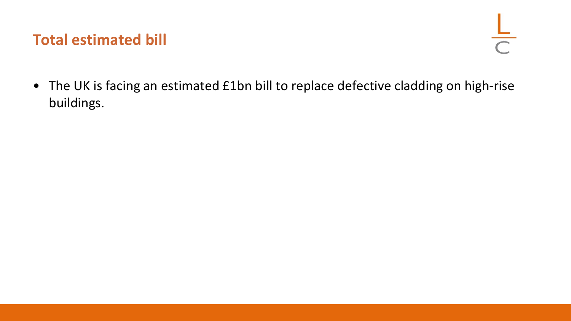# **Total estimated bill**

• The UK is facing an estimated £1bn bill to replace defective cladding on high-rise buildings.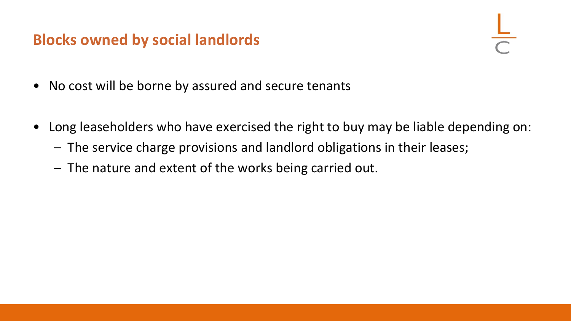## **Blocks owned by social landlords**

- No cost will be borne by assured and secure tenants
- Long leaseholders who have exercised the right to buy may be liable depending on:
	- The service charge provisions and landlord obligations in their leases;
	- The nature and extent of the works being carried out.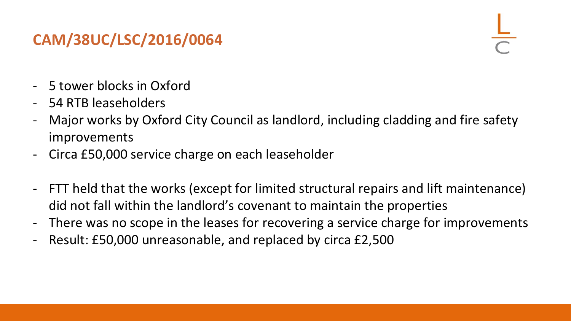# **CAM/38UC/LSC/2016/0064**

- 5 tower blocks in Oxford
- 54 RTB leaseholders
- Major works by Oxford City Council as landlord, including cladding and fire safety improvements
- Circa £50,000 service charge on each leaseholder
- FTT held that the works (except for limited structural repairs and lift maintenance) did not fall within the landlord's covenant to maintain the properties
- There was no scope in the leases for recovering a service charge for improvements
- Result: £50,000 unreasonable, and replaced by circa £2,500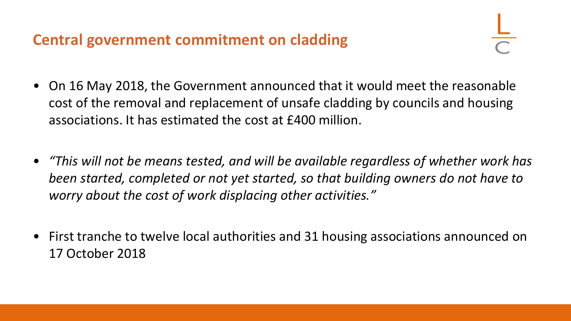**Central government commitment on cladding**

- On 16 May 2018, the Government announced that it would meet the reasonable cost of the removal and replacement of unsafe cladding by councils and housing associations. It has estimated the cost at £400 million.
- *"This will not be means tested, and will be available regardless of whether work has been started, completed or not yet started, so that building owners do not have to worry about the cost of work displacing other activities."*
- First tranche to twelve local authorities and 31 housing associations announced on 17 October 2018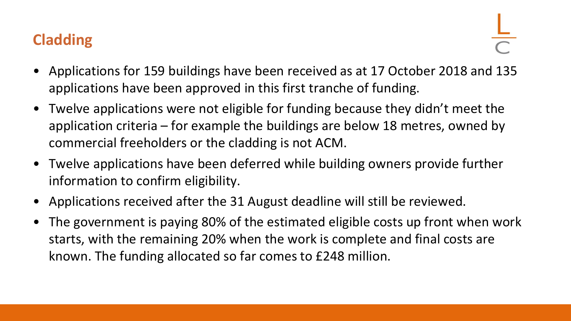# **Cladding**

- Applications for 159 buildings have been received as at 17 October 2018 and 135 applications have been approved in this first tranche of funding.
- Twelve applications were not eligible for funding because they didn't meet the application criteria – for example the buildings are below 18 metres, owned by commercial freeholders or the cladding is not ACM.
- Twelve applications have been deferred while building owners provide further information to confirm eligibility.
- Applications received after the 31 August deadline will still be reviewed.
- The government is paying 80% of the estimated eligible costs up front when work starts, with the remaining 20% when the work is complete and final costs are known. The funding allocated so far comes to £248 million.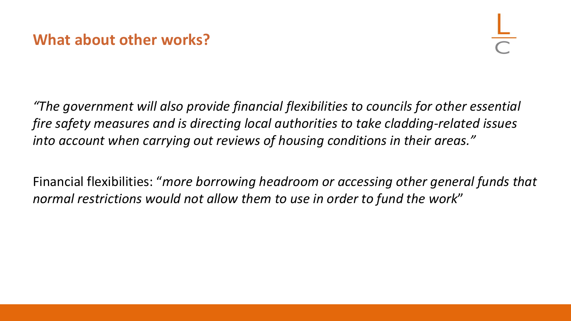## **What about other works?**



*"The government will also provide financial flexibilities to councils for other essential fire safety measures and is directing local authorities to take cladding-related issues into account when carrying out reviews of housing conditions in their areas."*

Financial flexibilities: "*more borrowing headroom or accessing other general funds that normal restrictions would not allow them to use in order to fund the work*"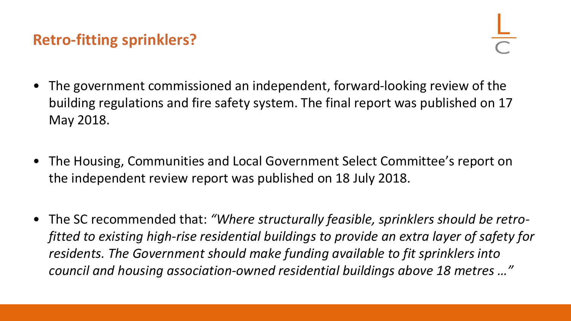# **Retro-fitting sprinklers?**

- The government commissioned an independent, forward-looking review of the building regulations and fire safety system. The final report was published on 17 May 2018.
- The Housing, Communities and Local Government Select Committee's report on the independent review report was published on 18 July 2018.
- The SC recommended that: *"Where structurally feasible, sprinklers should be retrofitted to existing high-rise residential buildings to provide an extra layer of safety for residents. The Government should make funding available to fit sprinklers into council and housing association-owned residential buildings above 18 metres …"*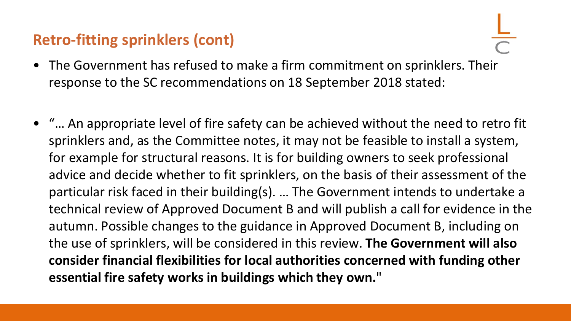# **Retro-fitting sprinklers (cont)**

- 
- The Government has refused to make a firm commitment on sprinklers. Their response to the SC recommendations on 18 September 2018 stated:
- "… An appropriate level of fire safety can be achieved without the need to retro fit sprinklers and, as the Committee notes, it may not be feasible to install a system, for example for structural reasons. It is for building owners to seek professional advice and decide whether to fit sprinklers, on the basis of their assessment of the particular risk faced in their building(s). … The Government intends to undertake a technical review of Approved Document B and will publish a call for evidence in the autumn. Possible changes to the guidance in Approved Document B, including on the use of sprinklers, will be considered in this review. **The Government will also consider financial flexibilities for local authorities concerned with funding other essential fire safety works in buildings which they own.**"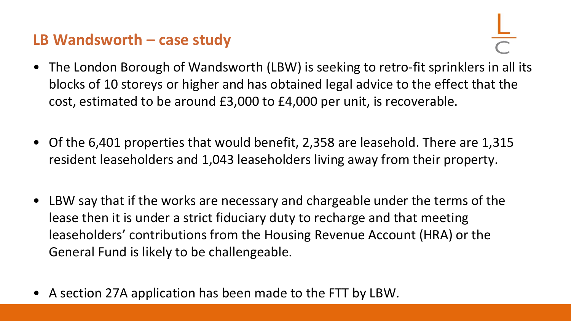## **LB Wandsworth – case study**

- The London Borough of Wandsworth (LBW) is seeking to retro-fit sprinklers in all its blocks of 10 storeys or higher and has obtained legal advice to the effect that the cost, estimated to be around £3,000 to £4,000 per unit, is recoverable.
- Of the 6,401 properties that would benefit, 2,358 are leasehold. There are 1,315 resident leaseholders and 1,043 leaseholders living away from their property.
- LBW say that if the works are necessary and chargeable under the terms of the lease then it is under a strict fiduciary duty to recharge and that meeting leaseholders' contributions from the Housing Revenue Account (HRA) or the General Fund is likely to be challengeable.
- A section 27A application has been made to the FTT by LBW.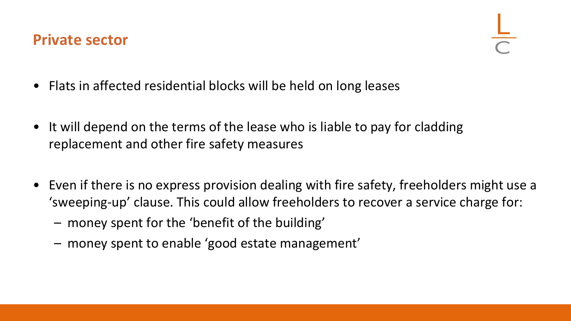#### **Private sector**

- Flats in affected residential blocks will be held on long leases
- It will depend on the terms of the lease who is liable to pay for cladding replacement and other fire safety measures
- Even if there is no express provision dealing with fire safety, freeholders might use a 'sweeping-up' clause. This could allow freeholders to recover a service charge for:
	- money spent for the 'benefit of the building'
	- money spent to enable 'good estate management'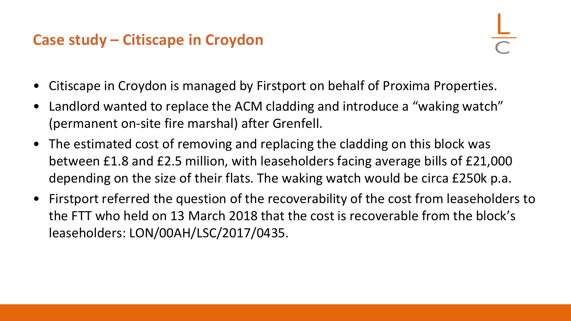#### **Case study – Citiscape in Croydon**

- 
- Citiscape in Croydon is managed by Firstport on behalf of Proxima Properties.
- Landlord wanted to replace the ACM cladding and introduce a "waking watch" (permanent on-site fire marshal) after Grenfell.
- The estimated cost of removing and replacing the cladding on this block was between £1.8 and £2.5 million, with leaseholders facing average bills of £21,000 depending on the size of their flats. The waking watch would be circa £250k p.a.
- Firstport referred the question of the recoverability of the cost from leaseholders to the FTT who held on 13 March 2018 that the cost is recoverable from the block's leaseholders: LON/00AH/LSC/2017/0435.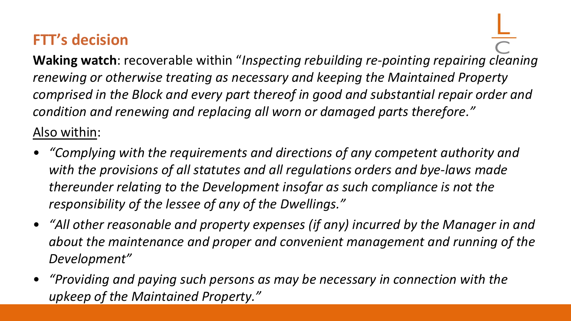# **FTT's decision**

**Waking watch**: recoverable within "*Inspecting rebuilding re-pointing repairing cleaning renewing or otherwise treating as necessary and keeping the Maintained Property comprised in the Block and every part thereof in good and substantial repair order and condition and renewing and replacing all worn or damaged parts therefore."* Also within:

- *"Complying with the requirements and directions of any competent authority and with the provisions of all statutes and all regulations orders and bye-laws made thereunder relating to the Development insofar as such compliance is not the responsibility of the lessee of any of the Dwellings."*
- *"All other reasonable and property expenses (if any) incurred by the Manager in and about the maintenance and proper and convenient management and running of the Development"*
- *"Providing and paying such persons as may be necessary in connection with the upkeep of the Maintained Property."*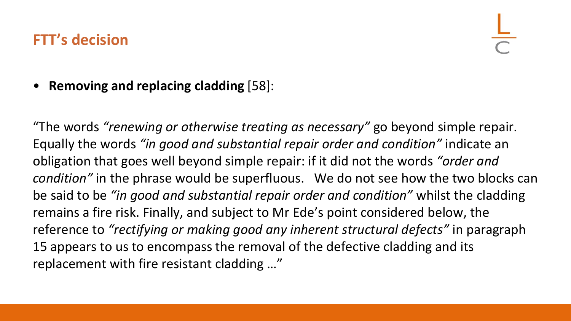# **FTT's decision**

• **Removing and replacing cladding** [58]:

"The words *"renewing or otherwise treating as necessary"* go beyond simple repair. Equally the words *"in good and substantial repair order and condition"* indicate an obligation that goes well beyond simple repair: if it did not the words *"order and condition"* in the phrase would be superfluous. We do not see how the two blocks can be said to be *"in good and substantial repair order and condition"* whilst the cladding remains a fire risk. Finally, and subject to Mr Ede's point considered below, the reference to *"rectifying or making good any inherent structural defects"* in paragraph 15 appears to us to encompass the removal of the defective cladding and its replacement with fire resistant cladding …"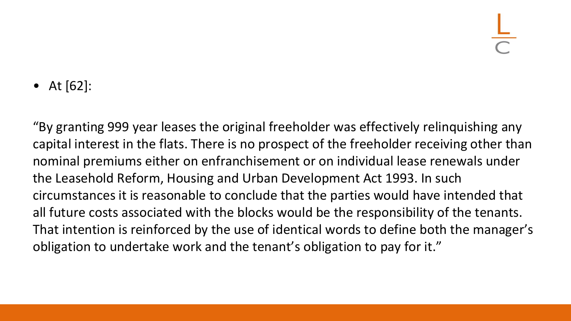• At  $[62]$ :

"By granting 999 year leases the original freeholder was effectively relinquishing any capital interest in the flats. There is no prospect of the freeholder receiving other than nominal premiums either on enfranchisement or on individual lease renewals under the Leasehold Reform, Housing and Urban Development Act 1993. In such circumstances it is reasonable to conclude that the parties would have intended that all future costs associated with the blocks would be the responsibility of the tenants. That intention is reinforced by the use of identical words to define both the manager's obligation to undertake work and the tenant's obligation to pay for it."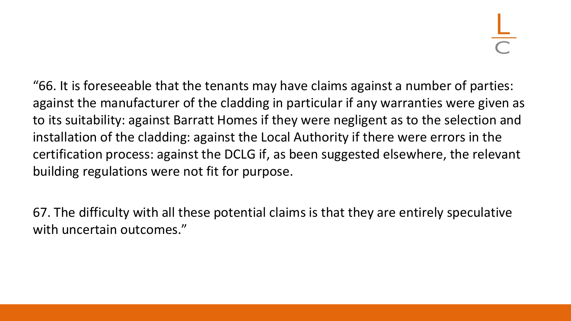"66. It is foreseeable that the tenants may have claims against a number of parties: against the manufacturer of the cladding in particular if any warranties were given as to its suitability: against Barratt Homes if they were negligent as to the selection and installation of the cladding: against the Local Authority if there were errors in the certification process: against the DCLG if, as been suggested elsewhere, the relevant building regulations were not fit for purpose.

67. The difficulty with all these potential claims is that they are entirely speculative with uncertain outcomes."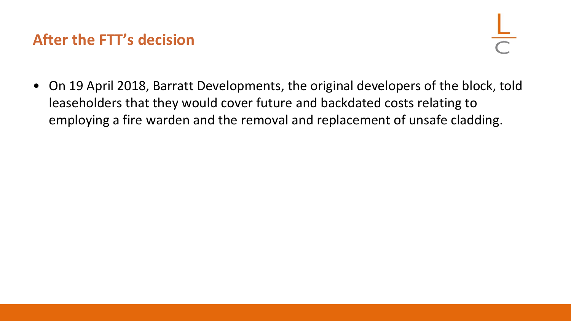# **After the FTT's decision**

• On 19 April 2018, Barratt Developments, the original developers of the block, told leaseholders that they would cover future and backdated costs relating to employing a fire warden and the removal and replacement of unsafe cladding.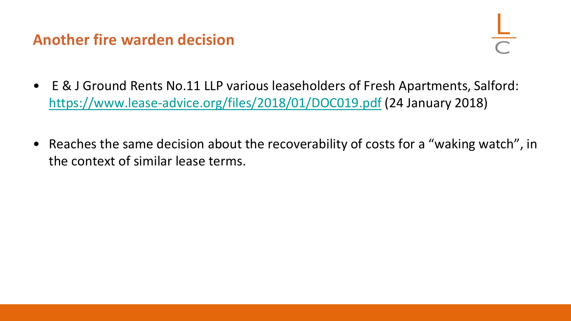## **Another fire warden decision**

- E & J Ground Rents No.11 LLP various leaseholders of Fresh Apartments, Salford: <https://www.lease-advice.org/files/2018/01/DOC019.pdf> (24 January 2018)
- Reaches the same decision about the recoverability of costs for a "waking watch", in the context of similar lease terms.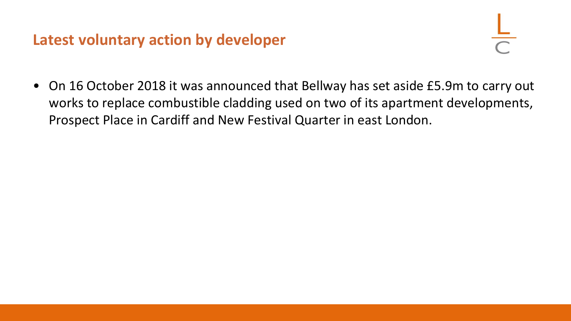#### **Latest voluntary action by developer**

• On 16 October 2018 it was announced that Bellway has set aside £5.9m to carry out works to replace combustible cladding used on two of its apartment developments, Prospect Place in Cardiff and New Festival Quarter in east London.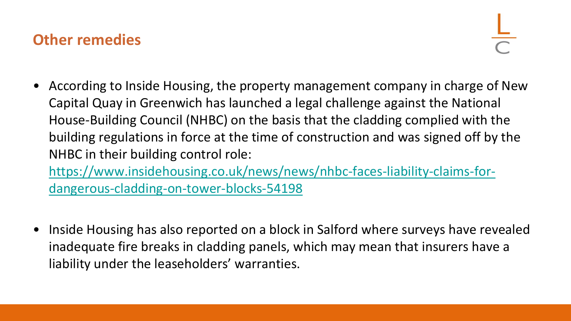### **Other remedies**

• According to Inside Housing, the property management company in charge of New Capital Quay in Greenwich has launched a legal challenge against the National House-Building Council (NHBC) on the basis that the cladding complied with the building regulations in force at the time of construction and was signed off by the NHBC in their building control role:

[https://www.insidehousing.co.uk/news/news/nhbc-faces-liability-claims-for](https://www.insidehousing.co.uk/news/news/nhbc-faces-liability-claims-for-dangerous-cladding-on-tower-blocks-54198)dangerous-cladding-on-tower-blocks-54198

• Inside Housing has also reported on a block in Salford where surveys have revealed inadequate fire breaks in cladding panels, which may mean that insurers have a liability under the leaseholders' warranties.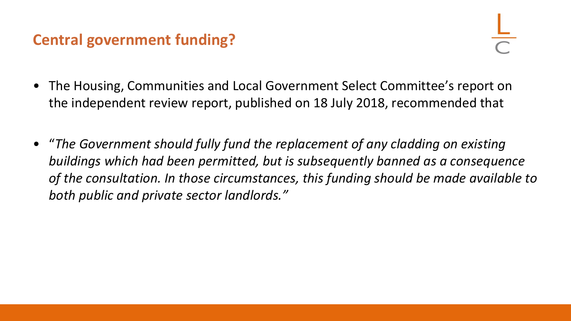# **Central government funding?**

- The Housing, Communities and Local Government Select Committee's report on the independent review report, published on 18 July 2018, recommended that
- "*The Government should fully fund the replacement of any cladding on existing buildings which had been permitted, but is subsequently banned as a consequence of the consultation. In those circumstances, this funding should be made available to both public and private sector landlords."*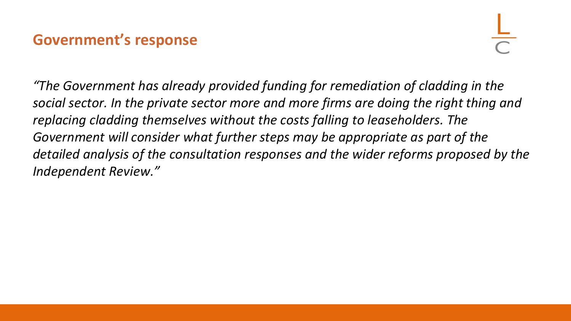## **Government's response**

*"The Government has already provided funding for remediation of cladding in the social sector. In the private sector more and more firms are doing the right thing and replacing cladding themselves without the costs falling to leaseholders. The Government will consider what further steps may be appropriate as part of the detailed analysis of the consultation responses and the wider reforms proposed by the Independent Review."*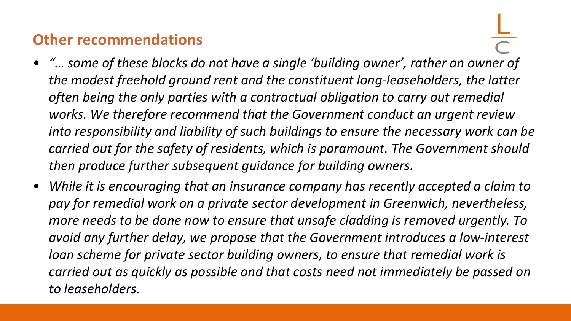# **Other recommendations**

- *"… some of these blocks do not have a single 'building owner', rather an owner of the modest freehold ground rent and the constituent long-leaseholders, the latter often being the only parties with a contractual obligation to carry out remedial works. We therefore recommend that the Government conduct an urgent review into responsibility and liability of such buildings to ensure the necessary work can be carried out for the safety of residents, which is paramount. The Government should then produce further subsequent guidance for building owners.*
- *While it is encouraging that an insurance company has recently accepted a claim to pay for remedial work on a private sector development in Greenwich, nevertheless, more needs to be done now to ensure that unsafe cladding is removed urgently. To avoid any further delay, we propose that the Government introduces a low-interest loan scheme for private sector building owners, to ensure that remedial work is carried out as quickly as possible and that costs need not immediately be passed on to leaseholders.*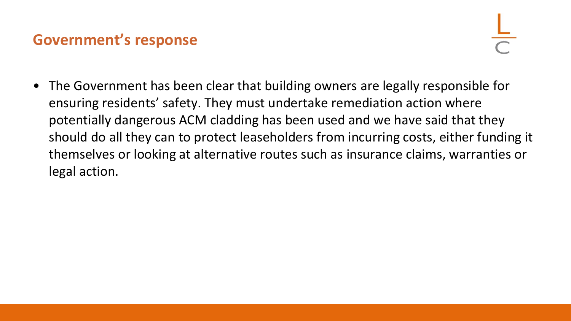## **Government's response**

• The Government has been clear that building owners are legally responsible for ensuring residents' safety. They must undertake remediation action where potentially dangerous ACM cladding has been used and we have said that they should do all they can to protect leaseholders from incurring costs, either funding it themselves or looking at alternative routes such as insurance claims, warranties or legal action.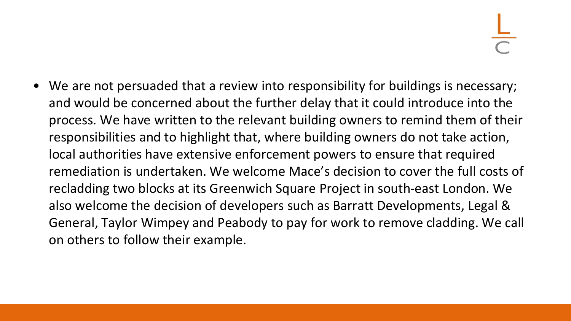• We are not persuaded that a review into responsibility for buildings is necessary; and would be concerned about the further delay that it could introduce into the process. We have written to the relevant building owners to remind them of their responsibilities and to highlight that, where building owners do not take action, local authorities have extensive enforcement powers to ensure that required remediation is undertaken. We welcome Mace's decision to cover the full costs of recladding two blocks at its Greenwich Square Project in south-east London. We also welcome the decision of developers such as Barratt Developments, Legal & General, Taylor Wimpey and Peabody to pay for work to remove cladding. We call on others to follow their example.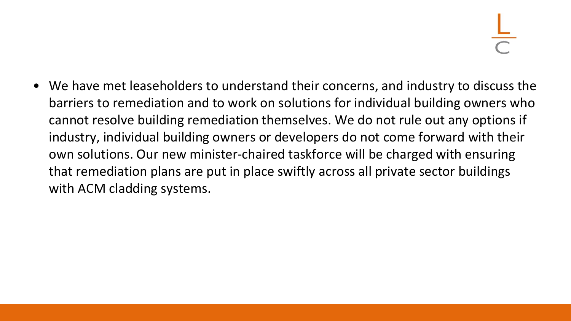• We have met leaseholders to understand their concerns, and industry to discuss the barriers to remediation and to work on solutions for individual building owners who cannot resolve building remediation themselves. We do not rule out any options if industry, individual building owners or developers do not come forward with their own solutions. Our new minister-chaired taskforce will be charged with ensuring that remediation plans are put in place swiftly across all private sector buildings with ACM cladding systems.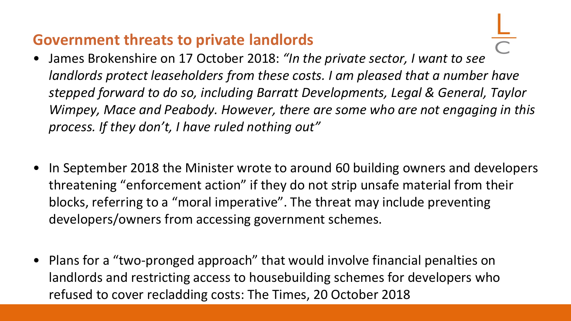# **Government threats to private landlords**

- James Brokenshire on 17 October 2018: *"In the private sector, I want to see landlords protect leaseholders from these costs. I am pleased that a number have stepped forward to do so, including Barratt Developments, Legal & General, Taylor Wimpey, Mace and Peabody. However, there are some who are not engaging in this process. If they don't, I have ruled nothing out"*
- In September 2018 the Minister wrote to around 60 building owners and developers threatening "enforcement action" if they do not strip unsafe material from their blocks, referring to a "moral imperative". The threat may include preventing developers/owners from accessing government schemes.
- Plans for a "two-pronged approach" that would involve financial penalties on landlords and restricting access to housebuilding schemes for developers who refused to cover recladding costs: The Times, 20 October 2018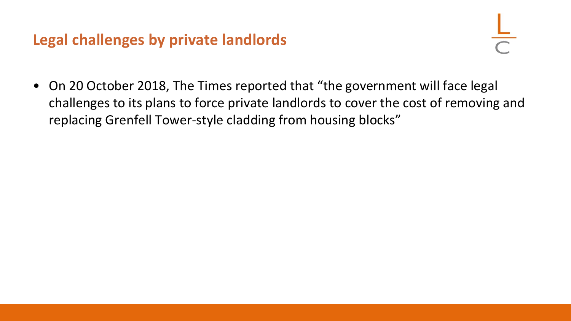# **Legal challenges by private landlords**

• On 20 October 2018, The Times reported that "the government will face legal challenges to its plans to force private landlords to cover the cost of removing and replacing Grenfell Tower-style cladding from housing blocks"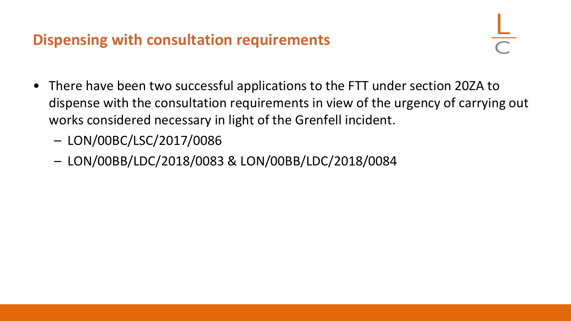## **Dispensing with consultation requirements**

- There have been two successful applications to the FTT under section 20ZA to dispense with the consultation requirements in view of the urgency of carrying out works considered necessary in light of the Grenfell incident.
	- LON/00BC/LSC/2017/0086
	- LON/00BB/LDC/2018/0083 & LON/00BB/LDC/2018/0084